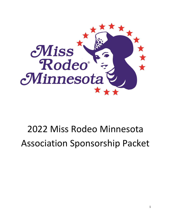

# Miss Rodeo Minnesota Association Sponsorship Packet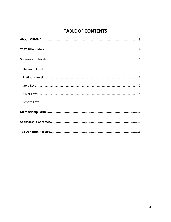# **TABLE OF CONTENTS**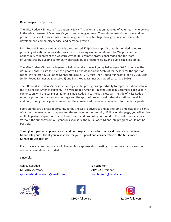#### Dear Prospective Sponsor,

The Miss Rodeo Minnesota Association (MRMNA) is an organization made up of volunteers who believe in the advancement of Minnesota's youth and young women. Through the Association, we work to promote the sport of rodeo while preserving our western heritage through education, leadership development, community service, and personal growth.

Miss Rodeo Minnesota Association is a recognized 501(c)(3) non-profit organization dedicated to providing educational scholarship awards to the young women of Minnesota. We provide the opportunity to represent the western way of life, promote professional rodeo and the State of Minnesota, by building community outreach, public relations skills, and public speaking ability.

The Miss Rodeo Minnesota Pageant is held annually to select young ladies ages, 5-27, who have the desire and enthusiasm to serve as a goodwill ambassador in the State of Minnesota for the sport of rodeo. We select a Miss Rodeo Minnesota (age 21–27), Miss Teen Rodeo Minnesota (age 16-20), Miss Junior Rodeo Minnesota (age 11–15) and Miss Rodeo Minnesota Sweethearts (age 5–10).

The title of Miss Rodeo Minnesota is also given the prestigious opportunity to represent Minnesota in the Miss Rodeo America Pageant. The Miss Rodeo America Pageant is held in December each year in conjunction with the Wrangler National Finals Rodeo in Las Vegas, Nevada. The title of Miss Rodeo America promotes our western heritage and the sport of professional rodeo at a national level. In addition, during the pageant competition they provide educational scholarships for the participants.

Sponsorships are a great opportunity for businesses to advertise and at the same time establish a sense of rapport between your company and the surrounding community. Following this page, you will notice multiple partnership opportunities to represent and promote your brand to the best of our abilities. Without the support from our generous sponsors, the Miss Rodeo Minnesota program would not be possible.

Through our partnership, we can expand our program in an effort make a difference in the lives of Minnesota youth. Thank you in advance for your support and consideration of the Miss Rodeo Minnesota Association.

If you have any questions or would like to plan a sponsorship meeting to promote your business, our contact information is included.

Sincerely,

Ashley Kollodge Kay Scholten MRMNA Secretary MRMNA President [sponsorshipdirectormn@gmail.com](mailto:sponsorshipdirectormn@gmail.com) [kayscholten2@gmail.com](mailto:kayscholten2@gmail.com)





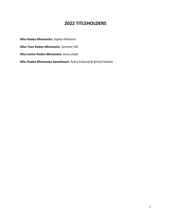# **2022 TITLEHOLDERS**

**Miss Rodeo Minnesota:** Sophia Hillmann **Miss Teen Rodeo Minnesota:** Summer Hill **Miss Junior Rodeo Minnesota:** Anna Lloyd **Miss Rodeo Minnesota Sweetheart:** Avery Ecklund & Bristol Siedow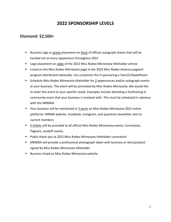# **2022 SPONSORSHIP LEVELS**

### **Diamond: \$2,500+**

- Business logo in prime placement on front of official autograph sheets that will be handed out at every appearance throughout 2022
- Logo placement on sides of the 2022 Miss Rodeo Minnesota titleholder vehicle
- Listed on the Miss Rodeo Minnesota page in the 2023 Miss Rodeo America pageant program distributed nationally. Can customize this if sponsoring a Teen/Jr/Sweetheart.
- Schedule Miss Rodeo Minnesota titleholder for 2 appearances and/or autograph events at your business. The event will be promoted by Miss Rodeo Minnesota. We would like to tailor this event to your specific needs. Examples include attending a fundraising or community event that your business is involved with. This must be scheduled in advance with the MRMNA.
- Your business will be mentioned in 5 posts on Miss Rodeo Minnesota 2022 online platforms: MRMN website, Facebook, Instagram, and quarterly newsletter sent to current members
- 4 tickets will be provided to all official Miss Rodeo Minnesota events; Coronation, Pageant, sendoff events.
- Public thank you at 2022 Miss Rodeo Minnesota titleholder coronation
- MRMNA will provide a professional photograph taken with business or item/product signed by Miss Rodeo Minnesota titleholder
- Business listed on Miss Rodeo Minnesota website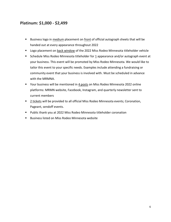# **Platinum: \$1,000 - \$2,499**

- Business logo in medium placement on front of official autograph sheets that will be handed out at every appearance throughout 2022
- Logo placement on back window of the 2022 Miss Rodeo Minnesota titleholder vehicle
- Schedule Miss Rodeo Minnesota titleholder for 1 appearance and/or autograph event at your business. This event will be promoted by Miss Rodeo Minnesota. We would like to tailor this event to your specific needs. Examples include attending a fundraising or community event that your business is involved with. Must be scheduled in advance with the MRMNA.
- Your business will be mentioned in 4 posts on Miss Rodeo Minnesota 2022 online platforms: MRMN website, Facebook, Instagram, and quarterly newsletter sent to current members
- 2 tickets will be provided to all official Miss Rodeo Minnesota events; Coronation, Pageant, sendoff events.
- Public thank you at 2022 Miss Rodeo Minnesota titleholder coronation
- Business listed on Miss Rodeo Minnesota website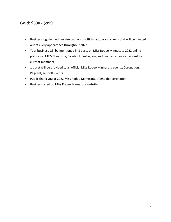## **Gold: \$500 - \$999**

- Business logo in medium size on back of official autograph sheets that will be handed out at every appearance throughout 2022
- Your business will be mentioned in 3 posts on Miss Rodeo Minnesota 2022 online platforms: MRMN website, Facebook, Instagram, and quarterly newsletter sent to current members
- **<u>I ticket</u>** will be provided to all official Miss Rodeo Minnesota events; Coronation, Pageant, sendoff events.
- Public thank you at 2022 Miss Rodeo Minnesota titleholder coronation
- Business listed on Miss Rodeo Minnesota website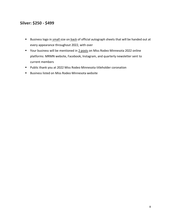# **Silver: \$250 - \$499**

- Business logo in small size on back of official autograph sheets that will be handed out at every appearance throughout 2022, with over
- Your business will be mentioned in 2 posts on Miss Rodeo Minnesota 2022 online platforms: MRMN website, Facebook, Instagram, and quarterly newsletter sent to current members
- Public thank you at 2022 Miss Rodeo Minnesota titleholder coronation
- Business listed on Miss Rodeo Minnesota website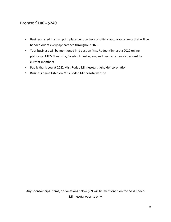### **Bronze: \$100 - \$249**

- Business listed in small print placement on back of official autograph sheets that will be handed out at every appearance throughout 2022
- Your business will be mentioned in 1 post on Miss Rodeo Minnesota 2022 online platforms: MRMN website, Facebook, Instagram, and quarterly newsletter sent to current members
- Public thank you at 2022 Miss Rodeo Minnesota titleholder coronation
- Business name listed on Miss Rodeo Minnesota website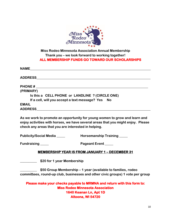

### **Miss Rodeo Minnesota Association Annual Membership Thank you – we look forward to working together! ALL MEMBERSHIP FUNDS GO TOWARD OUR SCHOLARSHIPS**

| <b>NAME</b>                                       |  |
|---------------------------------------------------|--|
| <b>ADDRESS</b>                                    |  |
| <b>PHONE#</b>                                     |  |
| (PRIMARY)                                         |  |
| Is this a CELL PHONE or LANDLINE ? (CIRCLE ONE)   |  |
| If a cell, will you accept a text message? Yes No |  |
| <b>EMAIL</b>                                      |  |
| <b>ADDRESS</b>                                    |  |
|                                                   |  |

**As we work to promote an opportunity for young women to grow and learn and enjoy activities with horses, we have several areas that you might enjoy. Please check any areas that you are interested in helping.**

**Publicity/Social Media \_\_\_\_\_ Horsemanship Training \_\_\_\_\_**

**Fundraising \_\_\_\_\_ Pageant Event \_\_\_\_\_**

### **MEMBERSHIP YEAR IS FROM JANUARY 1 – DECEMBER 31**

**\_\_\_\_\_\_\_\_\_\_ \$20 for 1 year Membership**

**\_\_\_\_\_\_\_\_\_\_ \$50 Group Membership – 1 year (available to families, rodeo committees, round-up club, businesses and other civic groups) 1 vote per group**

**Please make your checks payable to MRMNA and return with this form to: Miss Rodeo Minnesota Association 1640 Keanan Ln, Apt 1D Altoona, WI 54720**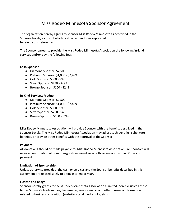# Miss Rodeo Minnesota Sponsor Agreement

The organization hereby agrees to sponsor Miss Rodeo Minnesota as described in the Sponsor Levels, a copy of which is attached and is incorporated herein by this reference.

The Sponsor agrees to provide the Miss Rodeo Minnesota Association the following in-kind services and/or pay the following fees:

#### **Cash Sponsor**

- Diamond Sponsor: \$2,500+
- Platinum Sponsor: \$1,000 \$2,499
- Gold Sponsor: \$500 \$999
- Silver Sponsor: \$250 \$499
- Bronze Sponsor: \$100 \$249

### **In-Kind Services/Product**

- Diamond Sponsor: \$2,500+
- Platinum Sponsor: \$1,000 \$2,499
- Gold Sponsor: \$500 \$999
- Silver Sponsor: \$250 \$499
- Bronze Sponsor: \$100 \$249

Miss Rodeo Minnesota Association will provide Sponsor with the benefits described in the Sponsor Levels. The Miss Rodeo Minnesota Association may adjust such benefits, substitute benefits, or provide other benefits with the approval of the Sponsor.

### **Payment:**

All donations should be made payable to: Miss Rodeo Minnesota Association. All sponsors will receive confirmation of donation/goods received via an official receipt, within 30 days of payment.

### **Limitation of Sponsorship:**

Unless otherwise provided, the cash or services and the Sponsor benefits described in this agreement are related solely to a single calendar year.

#### **License and Usage:**

Sponsor hereby grants the Miss Rodeo Minnesota Association a limited, non-exclusive license to use Sponsor's trade names, trademarks, service marks and other business information related to business recognition (website, social media links, etc.).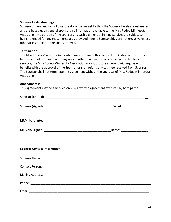### **Sponsor Understandings:**

Sponsor understands as follows: the dollar values set forth in the Sponsor Levels are estimates and are based upon general sponsorship information available to the Miss Rodeo Minnesota Association. No portion of the sponsorship cash payment or in-kind services are subject to being refunded for any reason except as provided herein. Sponsorships are not exclusive unless otherwise set forth in the Sponsor Levels.

### **Termination:**

The Miss Rodeo Minnesota Association may terminate this contract on 30 days written notice. In the event of termination for any reason other than failure to provide contracted fees or services, the Miss Rodeo Minnesota Association may substitute an event with equivalent benefits with the approval of the Sponsor or shall refund any cash fee received from Sponsor. The Sponsor shall not terminate this agreement without the approval of Miss Rodeo Minnesota Association.

#### **Amendments:**

This agreement may be amended only by a written agreement executed by both parties.

|                                     | _Dated: ____________________ |
|-------------------------------------|------------------------------|
| <b>Sponsor Contact Information:</b> |                              |
|                                     |                              |
|                                     |                              |
|                                     |                              |
|                                     |                              |